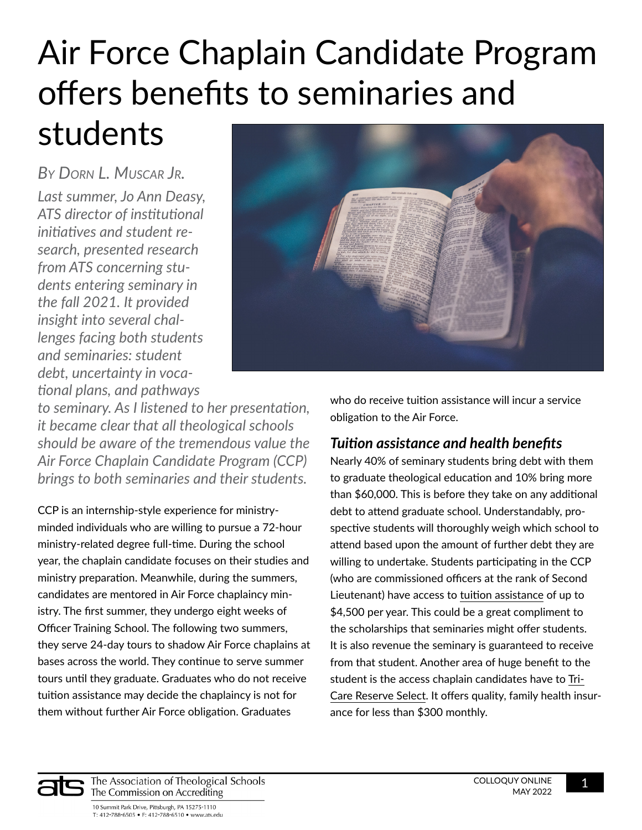# Air Force Chaplain Candidate Program offers benefits to seminaries and students

*Last summer, Jo Ann Deasy, ATS director of institutional initiatives and student research, presented research from ATS concerning students entering seminary in the fall 2021. It provided insight into several challenges facing both students and seminaries: student debt, uncertainty in vocational plans, and pathways By Dorn L. Muscar Jr.*



*to seminary. As I listened to her presentation, it became clear that all theological schools should be aware of the tremendous value the Air Force Chaplain Candidate Program (CCP) brings to both seminaries and their students.* 

CCP is an internship-style experience for ministryminded individuals who are willing to pursue a 72-hour ministry-related degree full-time. During the school year, the chaplain candidate focuses on their studies and ministry preparation. Meanwhile, during the summers, candidates are mentored in Air Force chaplaincy ministry. The first summer, they undergo eight weeks of Officer Training School. The following two summers, they serve 24-day tours to shadow Air Force chaplains at bases across the world. They continue to serve summer tours until they graduate. Graduates who do not receive tuition assistance may decide the chaplaincy is not for them without further Air Force obligation. Graduates

who do receive tuition assistance will incur a service obligation to the Air Force.

### *Tuition assistance and health benefits*

Nearly 40% of seminary students bring debt with them to graduate theological education and 10% bring more than \$60,000. This is before they take on any additional debt to attend graduate school. Understandably, prospective students will thoroughly weigh which school to attend based upon the amount of further debt they are willing to undertake. Students participating in the CCP (who are commissioned officers at the rank of Second Lieutenant) have access to [tuition assistance](https://afreserve.com/benefits) of up to \$4,500 per year. This could be a great compliment to the scholarships that seminaries might offer students. It is also revenue the seminary is guaranteed to receive from that student. Another area of huge benefit to the student is the access chaplain candidates have to [Tri-](https://tricare.mil/TRS)[Care Reserve Select](https://tricare.mil/TRS). It offers quality, family health insurance for less than \$300 monthly.